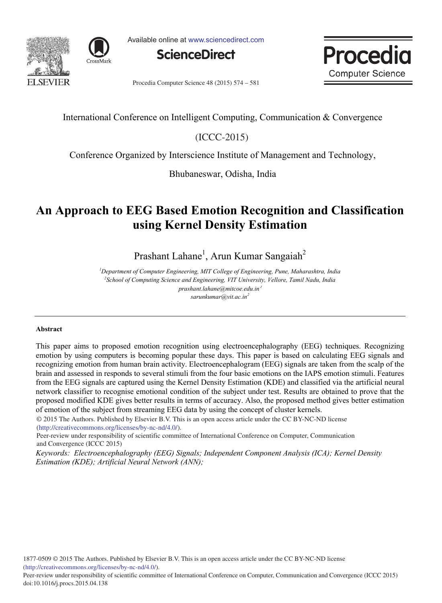



Available online at www.sciencedirect.com





Procedia Computer Science 48 (2015) 574 - 581

# International Conference on Intelligent Computing, Communication & Convergence

 $(ICC-2015)$ 

Conference Organized by Interscience Institute of Management and Technology,

Bhubaneswar, Odisha, India

# **An Approach to EEG Based Emotion Recognition and Classification using Kernel Density Estimation**

Prashant Lahane<sup>1</sup>, Arun Kumar Sangaiah<sup>2</sup>

*<sup>1</sup>Department of Computer Engineering, MIT College of Engineering, Pune, Maharashtra, India 2 School of Computing Science and Engineering, VIT University, Vellore, Tamil Nadu, India prashant.lahane@mitcoe.edu.in sarunkumar@vit.ac.in<sup>2</sup>*

## **Abstract**

This paper aims to proposed emotion recognition using electroencephalography (EEG) techniques. Recognizing emotion by using computers is becoming popular these days. This paper is based on calculating EEG signals and recognizing emotion from human brain activity. Electroencephalogram (EEG) signals are taken from the scalp of the brain and assessed in responds to several stimuli from the four basic emotions on the IAPS emotion stimuli. Features from the EEG signals are captured using the Kernel Density Estimation (KDE) and classified via the artificial neural network classifier to recognise emotional condition of the subject under test. Results are obtained to prove that the proposed modified KDE gives better results in terms of accuracy. Also, the proposed method gives better estimation of emotion of the subject from streaming EEG data by using the concept of cluster kernels.

(http://creativecommons.org/licenses/by-nc-nd/4.0/). © 2015 The Authors. Published by Elsevier B.V. This is an open access article under the CC BY-NC-ND license

Peer-review under responsibility of scientific committee of International Conference on Computer, Communication and Convergence (ICCC 2015)

*Keywords: Electroencephalography (EEG) Signals; Independent Component Analysis (ICA); Kernel Density Estimation (KDE); Artificial Neural Network (ANN);*

1877-0509 © 2015 The Authors. Published by Elsevier B.V. This is an open access article under the CC BY-NC-ND license (http://creativecommons.org/licenses/by-nc-nd/4.0/).

Peer-review under responsibility of scientific committee of International Conference on Computer, Communication and Convergence (ICCC 2015) doi: 10.1016/j.procs.2015.04.138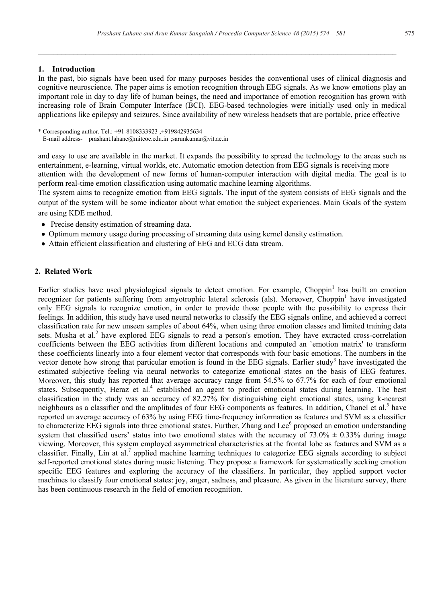*\_\_\_\_\_\_\_\_\_\_\_\_\_\_\_\_\_\_\_\_\_\_\_\_\_\_\_\_\_\_\_\_\_\_\_\_\_\_\_\_\_\_\_\_\_\_\_\_\_\_\_\_\_\_\_\_\_\_\_\_\_\_\_\_\_\_\_\_\_\_\_\_\_\_\_\_\_\_\_\_\_\_\_\_\_\_\_\_\_\_\_*

#### **1. Introduction**

In the past, bio signals have been used for many purposes besides the conventional uses of clinical diagnosis and cognitive neuroscience. The paper aims is emotion recognition through EEG signals. As we know emotions play an important role in day to day life of human beings, the need and importance of emotion recognition has grown with increasing role of Brain Computer Interface (BCI). EEG-based technologies were initially used only in medical applications like epilepsy and seizures. Since availability of new wireless headsets that are portable, price effective

\* Corresponding author. Tel.: +91-8108333923 ,+919842935634 E-mail address- prashant.lahane@mitcoe.edu.in ;sarunkumar@vit.ac.in

and easy to use are available in the market. It expands the possibility to spread the technology to the areas such as entertainment, e-learning, virtual worlds, etc. Automatic emotion detection from EEG signals is receiving more attention with the development of new forms of human-computer interaction with digital media. The goal is to perform real-time emotion classification using automatic machine learning algorithms.

The system aims to recognize emotion from EEG signals. The input of the system consists of EEG signals and the output of the system will be some indicator about what emotion the subject experiences. Main Goals of the system are using KDE method.

- Precise density estimation of streaming data.
- Optimum memory usage during processing of streaming data using kernel density estimation.
- Attain efficient classification and clustering of EEG and ECG data stream.

#### **2. Related Work**

Earlier studies have used physiological signals to detect emotion. For example, Choppin<sup>1</sup> has built an emotion recognizer for patients suffering from amyotrophic lateral sclerosis (als). Moreover, Choppin<sup>1</sup> have investigated only EEG signals to recognize emotion, in order to provide those people with the possibility to express their feelings. In addition, this study have used neural networks to classify the EEG signals online, and achieved a correct classification rate for new unseen samples of about 64%, when using three emotion classes and limited training data sets. Musha et al.<sup>2</sup> have explored EEG signals to read a person's emotion. They have extracted cross-correlation coefficients between the EEG activities from different locations and computed an `emotion matrix' to transform these coefficients linearly into a four element vector that corresponds with four basic emotions. The numbers in the vector denote how strong that particular emotion is found in the EEG signals. Earlier study<sup>3</sup> have investigated the estimated subjective feeling via neural networks to categorize emotional states on the basis of EEG features. Moreover, this study has reported that average accuracy range from 54.5% to 67.7% for each of four emotional states. Subsequently, Heraz et al.<sup>4</sup> established an agent to predict emotional states during learning. The best classification in the study was an accuracy of 82.27% for distinguishing eight emotional states, using k-nearest neighbours as a classifier and the amplitudes of four EEG components as features. In addition, Chanel et al.<sup>5</sup> have reported an average accuracy of 63% by using EEG time-frequency information as features and SVM as a classifier to characterize EEG signals into three emotional states. Further, Zhang and Lee<sup>6</sup> proposed an emotion understanding system that classified users' status into two emotional states with the accuracy of  $73.0\% \pm 0.33\%$  during image viewing. Moreover, this system employed asymmetrical characteristics at the frontal lobe as features and SVM as a classifier. Finally, Lin at al.<sup>7</sup> applied machine learning techniques to categorize EEG signals according to subject self-reported emotional states during music listening. They propose a framework for systematically seeking emotion specific EEG features and exploring the accuracy of the classifiers. In particular, they applied support vector machines to classify four emotional states: joy, anger, sadness, and pleasure. As given in the literature survey, there has been continuous research in the field of emotion recognition.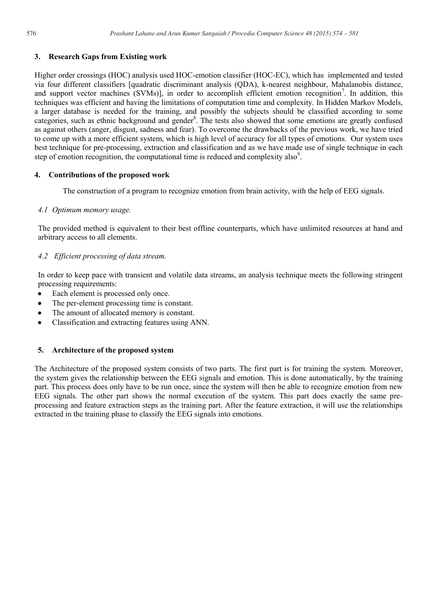## **3. Research Gaps from Existing work**

Higher order crossings (HOC) analysis used HOC-emotion classifier (HOC-EC), which has implemented and tested via four different classifiers [quadratic discriminant analysis (QDA), k-nearest neighbour, Mahalanobis distance, and support vector machines (SVMs)], in order to accomplish efficient emotion recognition<sup>7</sup>. In addition, this techniques was efficient and having the limitations of computation time and complexity. In Hidden Markov Models, a larger database is needed for the training, and possibly the subjects should be classified according to some categories, such as ethnic background and gender<sup>8</sup>. The tests also showed that some emotions are greatly confused as against others (anger, disgust, sadness and fear). To overcome the drawbacks of the previous work, we have tried to come up with a more efficient system, which is high level of accuracy for all types of emotions. Our system uses best technique for pre-processing, extraction and classification and as we have made use of single technique in each step of emotion recognition, the computational time is reduced and complexity also $9$ .

## **4. Contributions of the proposed work**

The construction of a program to recognize emotion from brain activity, with the help of EEG signals.

## *4.1 Optimum memory usage.*

The provided method is equivalent to their best offline counterparts, which have unlimited resources at hand and arbitrary access to all elements.

## *4.2 Efficient processing of data stream.*

In order to keep pace with transient and volatile data streams, an analysis technique meets the following stringent processing requirements:

- $\bullet$ Each element is processed only once.
- The per-element processing time is constant.
- The amount of allocated memory is constant. Ċ
- Classification and extracting features using ANN.  $\blacksquare$

## **5. Architecture of the proposed system**

The Architecture of the proposed system consists of two parts. The first part is for training the system. Moreover, the system gives the relationship between the EEG signals and emotion. This is done automatically, by the training part. This process does only have to be run once, since the system will then be able to recognize emotion from new EEG signals. The other part shows the normal execution of the system. This part does exactly the same preprocessing and feature extraction steps as the training part. After the feature extraction, it will use the relationships extracted in the training phase to classify the EEG signals into emotions.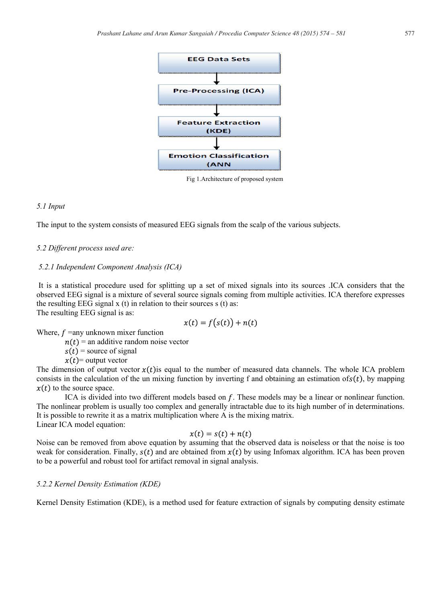

Fig 1.Architecture of proposed system

#### *5.1 Input*

The input to the system consists of measured EEG signals from the scalp of the various subjects.

#### *5.2 Different process used are:*

#### *5.2.1 Independent Component Analysis (ICA)*

It is a statistical procedure used for splitting up a set of mixed signals into its sources .ICA considers that the observed EEG signal is a mixture of several source signals coming from multiple activities. ICA therefore expresses the resulting EEG signal  $x(t)$  in relation to their sources  $s(t)$  as:

The resulting EEG signal is as:

$$
x(t) = f(s(t)) + n(t)
$$

Where,  $f =$ any unknown mixer function

 $n(t)$  = an additive random noise vector

 $s(t)$  = source of signal

 $x(t)$  = output vector

The dimension of output vector  $x(t)$  is equal to the number of measured data channels. The whole ICA problem consists in the calculation of the un mixing function by inverting f and obtaining an estimation of  $s(t)$ , by mapping  $x(t)$  to the source space.

ICA is divided into two different models based on f. These models may be a linear or nonlinear function. The nonlinear problem is usually too complex and generally intractable due to its high number of in determinations. It is possible to rewrite it as a matrix multiplication where A is the mixing matrix. Linear ICA model equation:

#### $x(t) = s(t) + n(t)$

Noise can be removed from above equation by assuming that the observed data is noiseless or that the noise is too weak for consideration. Finally,  $s(t)$  and are obtained from  $x(t)$  by using Infomax algorithm. ICA has been proven to be a powerful and robust tool for artifact removal in signal analysis.

#### *5.2.2 Kernel Density Estimation (KDE)*

Kernel Density Estimation (KDE), is a method used for feature extraction of signals by computing density estimate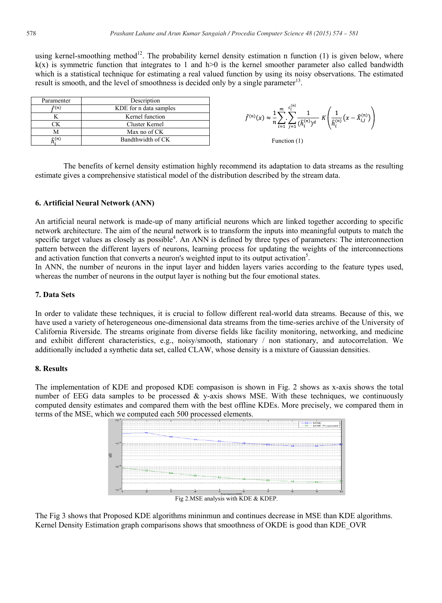using kernel-smoothing method<sup>12</sup>. The probability kernel density estimation n function (1) is given below, where  $k(x)$  is symmetric function that integrates to 1 and h>0 is the kernel smoother parameter also called bandwidth which is a statistical technique for estimating a real valued function by using its noisy observations. The estimated result is smooth, and the level of smoothness is decided only by a single parameter<sup>13</sup>.

| Paramenter               | Description            |  |  |
|--------------------------|------------------------|--|--|
| $\hat{f}(n)$             | KDE for n data samples |  |  |
|                          | Kernel function        |  |  |
|                          | Cluster Kernel         |  |  |
|                          | Max no of CK           |  |  |
| $\widehat{\kappa}^{(n)}$ | Bandthwidth of CK      |  |  |

$$
\hat{f}^{(n)}(x) \approx \frac{1}{n} \sum_{i=1}^{m} \sum_{j=1}^{c_i^{(n)}} \frac{1}{(\hat{h}_i^{(n)})^d} K\left(\frac{1}{\hat{h}_i^{(n)}}(x - \hat{X}_{i,j}^{(n)})\right)
$$



The benefits of kernel density estimation highly recommend its adaptation to data streams as the resulting estimate gives a comprehensive statistical model of the distribution described by the stream data.

### **6. Artificial Neural Network (ANN)**

An artificial neural network is made-up of many artificial neurons which are linked together according to specific network architecture. The aim of the neural network is to transform the inputs into meaningful outputs to match the specific target values as closely as possible<sup>4</sup>. An ANN is defined by three types of parameters: The interconnection pattern between the different layers of neurons, learning process for updating the weights of the interconnections and activation function that converts a neuron's weighted input to its output activation<sup>5</sup>.

In ANN, the number of neurons in the input layer and hidden layers varies according to the feature types used, whereas the number of neurons in the output layer is nothing but the four emotional states.

#### **7. Data Sets**

In order to validate these techniques, it is crucial to follow different real-world data streams. Because of this, we have used a variety of heterogeneous one-dimensional data streams from the time-series archive of the University of California Riverside. The streams originate from diverse fields like facility monitoring, networking, and medicine and exhibit different characteristics, e.g., noisy/smooth, stationary / non stationary, and autocorrelation. We additionally included a synthetic data set, called CLAW, whose density is a mixture of Gaussian densities.

### **8. Results**

The implementation of KDE and proposed KDE compasison is shown in Fig. 2 shows as x-axis shows the total number of EEG data samples to be processed  $\&$  y-axis shows MSE. With these techniques, we continuously computed density estimates and compared them with the best offline KDEs. More precisely, we compared them in terms of the MSE, which we computed each 500 processed elements.



The Fig 3 shows that Proposed KDE algorithms mininmun and continues decrease in MSE than KDE algorithms. Kernel Density Estimation graph comparisons shows that smoothness of OKDE is good than KDE\_OVR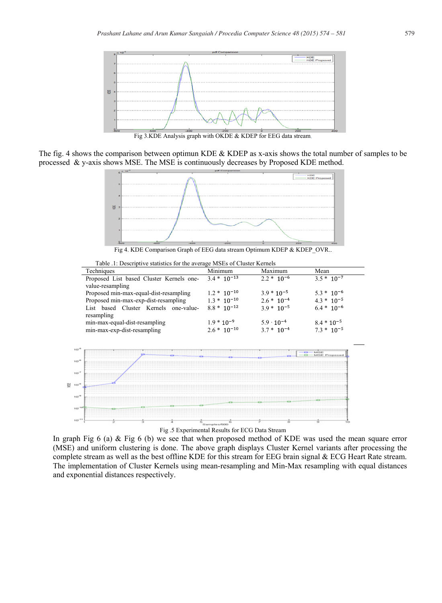

The fig. 4 shows the comparison between optimun KDE & KDEP as x-axis shows the total number of samples to be processed & y-axis shows MSE. The MSE is continuously decreases by Proposed KDE method.



Table .1: Descriptive statistics for the average MSEs of Cluster Kernels

| Techniques                               | Minimum          | Maximum             | Mean            |
|------------------------------------------|------------------|---------------------|-----------------|
| Proposed List based Cluster Kernels one- | $3.4 * 10^{-13}$ | $2.2 * 10^{-6}$     | $3.5*10^{-7}$   |
| value-resampling                         |                  |                     |                 |
| Proposed min-max-equal-dist-resampling   | $1.2 * 10^{-10}$ | $3.9 * 10^{-5}$     | $5.3 * 10^{-6}$ |
| Proposed min-max-exp-dist-resampling     | $1.3 * 10^{-10}$ | $2.6 * 10^{-4}$     | $4.3 * 10^{-5}$ |
| List based Cluster Kernels one-value-    | $8.8 * 10^{-12}$ | $3.9 * 10^{-5}$     | $6.4 * 10^{-6}$ |
| resampling                               |                  |                     |                 |
| min-max-equal-dist-resampling            | $1.9 * 10^{-9}$  | $5.9 \cdot 10^{-4}$ | $8.4 * 10^{-5}$ |
| min-max-exp-dist-resampling              | $2.6 * 10^{-10}$ | $3.7 * 10^{-4}$     | $73 * 10^{-5}$  |



In graph Fig 6 (a) & Fig 6 (b) we see that when proposed method of KDE was used the mean square error (MSE) and uniform clustering is done. The above graph displays Cluster Kernel variants after processing the complete stream as well as the best offline KDE for this stream for EEG brain signal & ECG Heart Rate stream.

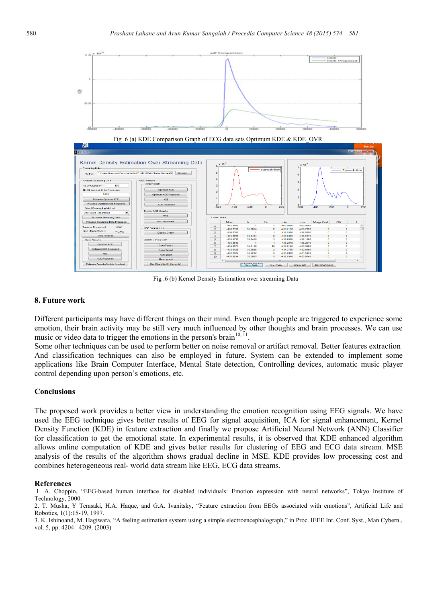

Fig .6 (b) Kernel Density Estimation over streaming Data

#### **8. Future work**

Different participants may have different things on their mind. Even though people are triggered to experience some emotion, their brain activity may be still very much influenced by other thoughts and brain processes. We can use music or video data to trigger the emotions in the person's brain<sup>10, 11</sup>.

Some other techniques can be used to perform better on noise removal or artifact removal. Better features extraction And classification techniques can also be employed in future. System can be extended to implement some applications like Brain Computer Interface, Mental State detection, Controlling devices, automatic music player control depending upon person's emotions, etc.

#### **Conclusions**

The proposed work provides a better view in understanding the emotion recognition using EEG signals. We have used the EEG technique gives better results of EEG for signal acquisition, ICA for signal enhancement, Kernel Density Function (KDE) in feature extraction and finally we propose Artificial Neural Network (ANN) Classifier for classification to get the emotional state. In experimental results, it is observed that KDE enhanced algorithm allows online computation of KDE and gives better results for clustering of EEG and ECG data stream. MSE analysis of the results of the algorithm shows gradual decline in MSE. KDE provides low processing cost and combines heterogeneous real- world data stream like EEG, ECG data streams.

#### **References**

1. A. Choppin, "EEG-based human interface for disabled individuals: Emotion expression with neural networks", Tokyo Institure of Technology, 2000.

3. K. Ishinoand, M. Hagiwara, "A feeling estimation system using a simple electroencephalograph," in Proc. IEEE Int. Conf. Syst., Man Cybern., vol. 5, pp. 4204– 4209. (2003)

<sup>2.</sup> T. Musha, Y Terasaki, H.A. Haque, and G.A. Ivanitsky, "Feature extraction from EEGs associated with emotions", Artificial Life and Robotics, 1(1):15-19, 1997.